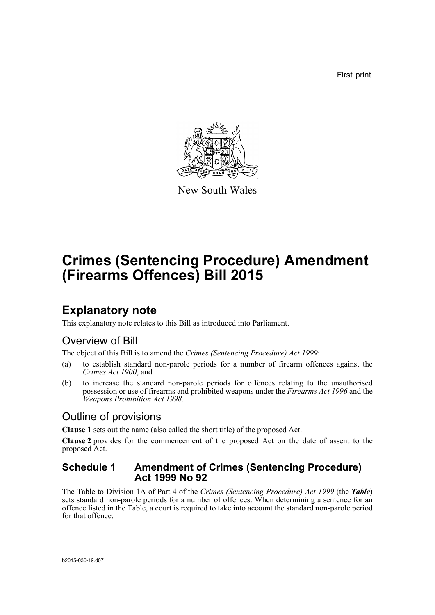First print



New South Wales

# **Crimes (Sentencing Procedure) Amendment (Firearms Offences) Bill 2015**

## **Explanatory note**

This explanatory note relates to this Bill as introduced into Parliament.

### Overview of Bill

The object of this Bill is to amend the *Crimes (Sentencing Procedure) Act 1999*:

- (a) to establish standard non-parole periods for a number of firearm offences against the *Crimes Act 1900*, and
- (b) to increase the standard non-parole periods for offences relating to the unauthorised possession or use of firearms and prohibited weapons under the *Firearms Act 1996* and the *Weapons Prohibition Act 1998*.

### Outline of provisions

**Clause 1** sets out the name (also called the short title) of the proposed Act.

**Clause 2** provides for the commencement of the proposed Act on the date of assent to the proposed Act.

#### **Schedule 1 Amendment of Crimes (Sentencing Procedure) Act 1999 No 92**

The Table to Division 1A of Part 4 of the *Crimes (Sentencing Procedure) Act 1999* (the *Table*) sets standard non-parole periods for a number of offences. When determining a sentence for an offence listed in the Table, a court is required to take into account the standard non-parole period for that offence.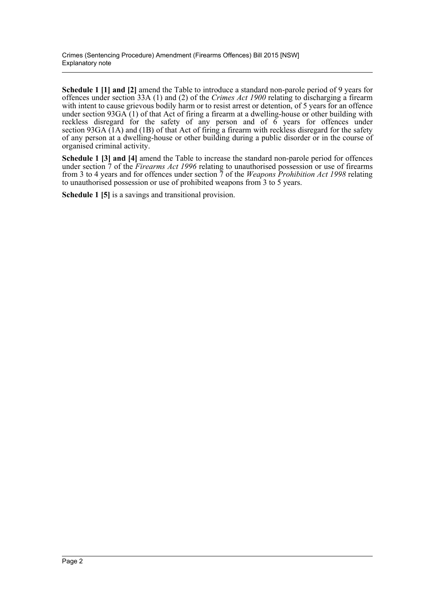**Schedule 1 [1] and [2]** amend the Table to introduce a standard non-parole period of 9 years for offences under section 33A (1) and (2) of the *Crimes Act 1900* relating to discharging a firearm with intent to cause grievous bodily harm or to resist arrest or detention, of 5 years for an offence under section 93GA (1) of that Act of firing a firearm at a dwelling-house or other building with reckless disregard for the safety of any person and of  $\ddot{6}$  years for offences under section 93GA (1A) and (1B) of that Act of firing a firearm with reckless disregard for the safety of any person at a dwelling-house or other building during a public disorder or in the course of organised criminal activity.

**Schedule 1 [3] and [4]** amend the Table to increase the standard non-parole period for offences under section 7 of the *Firearms Act 1996* relating to unauthorised possession or use of firearms from 3 to 4 years and for offences under section 7 of the *Weapons Prohibition Act 1998* relating to unauthorised possession or use of prohibited weapons from 3 to 5 years.

**Schedule 1 [5]** is a savings and transitional provision.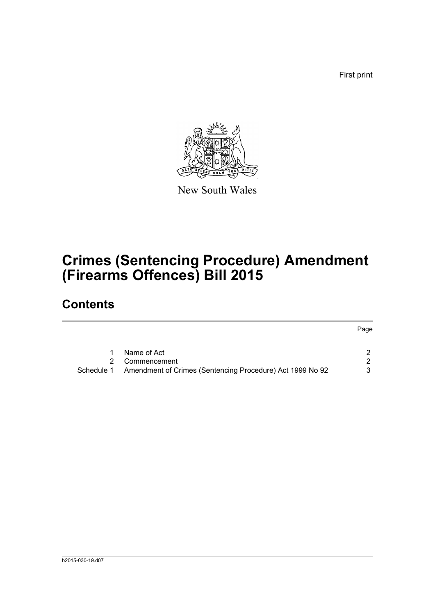First print



New South Wales

# **Crimes (Sentencing Procedure) Amendment (Firearms Offences) Bill 2015**

## **Contents**

|            |                                                           | Page |
|------------|-----------------------------------------------------------|------|
|            | Name of Act                                               |      |
|            |                                                           |      |
|            | Commencement                                              | 2    |
| Schedule 1 | Amendment of Crimes (Sentencing Procedure) Act 1999 No 92 | 3    |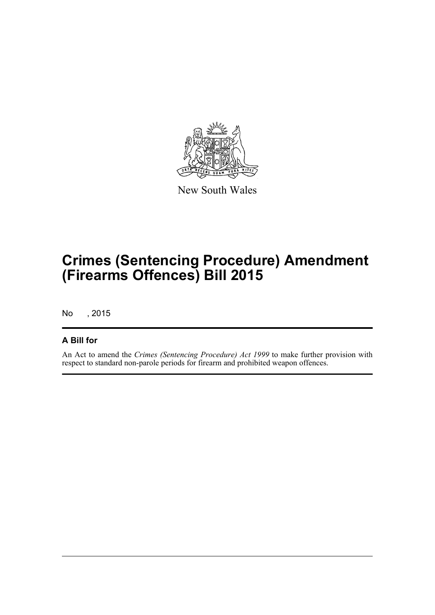

New South Wales

# **Crimes (Sentencing Procedure) Amendment (Firearms Offences) Bill 2015**

No , 2015

#### **A Bill for**

An Act to amend the *Crimes (Sentencing Procedure) Act 1999* to make further provision with respect to standard non-parole periods for firearm and prohibited weapon offences.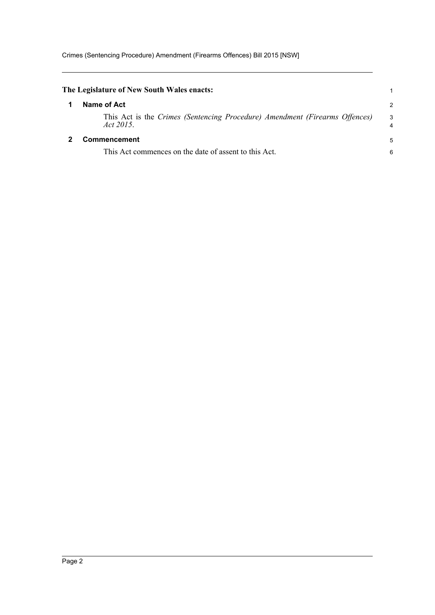<span id="page-4-1"></span><span id="page-4-0"></span>

| The Legislature of New South Wales enacts:                                               |                |
|------------------------------------------------------------------------------------------|----------------|
| Name of Act                                                                              | $\overline{c}$ |
| This Act is the Crimes (Sentencing Procedure) Amendment (Firearms Offences)<br>Act 2015. | 3<br>4         |
| Commencement                                                                             |                |
| This Act commences on the date of assent to this Act.                                    | 6              |
|                                                                                          |                |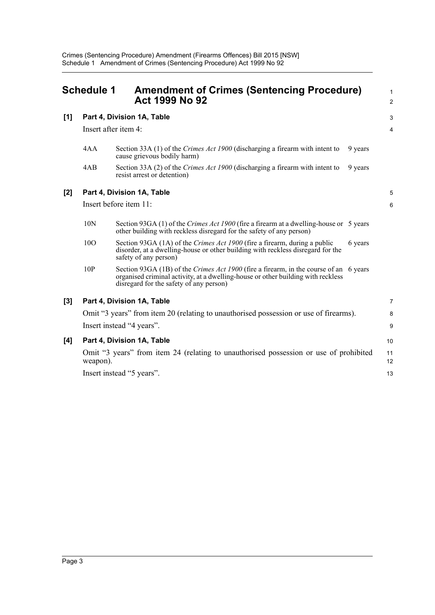<span id="page-5-0"></span>

|     | <b>Schedule 1</b>    | <b>Amendment of Crimes (Sentencing Procedure)</b><br><b>Act 1999 No 92</b>                                                                                                                                                  |         | 1<br>$\overline{a}$ |
|-----|----------------------|-----------------------------------------------------------------------------------------------------------------------------------------------------------------------------------------------------------------------------|---------|---------------------|
| [1] |                      | Part 4, Division 1A, Table                                                                                                                                                                                                  |         | 3                   |
|     | Insert after item 4: |                                                                                                                                                                                                                             |         | 4                   |
|     | 4AA                  | Section 33A (1) of the Crimes Act 1900 (discharging a firearm with intent to<br>cause grievous bodily harm)                                                                                                                 | 9 years |                     |
|     | 4AB                  | Section 33A (2) of the Crimes Act 1900 (discharging a firearm with intent to<br>resist arrest or detention)                                                                                                                 | 9 years |                     |
| [2] |                      | Part 4, Division 1A, Table                                                                                                                                                                                                  |         | 5                   |
|     |                      | Insert before item 11:                                                                                                                                                                                                      |         | 6                   |
|     | 10N                  | Section 93GA (1) of the <i>Crimes Act 1900</i> (fire a firearm at a dwelling-house or 5 years<br>other building with reckless disregard for the safety of any person)                                                       |         |                     |
|     | 10O                  | Section 93GA (1A) of the Crimes Act 1900 (fire a firearm, during a public<br>disorder, at a dwelling-house or other building with reckless disregard for the<br>safety of any person)                                       | 6 years |                     |
|     | 10P                  | Section 93GA (1B) of the <i>Crimes Act 1900</i> (fire a firearm, in the course of an 6 years<br>organised criminal activity, at a dwelling-house or other building with reckless<br>disregard for the safety of any person) |         |                     |
| [3] |                      | Part 4, Division 1A, Table                                                                                                                                                                                                  |         | 7                   |
|     |                      | Omit "3 years" from item 20 (relating to unauthorised possession or use of firearms).                                                                                                                                       |         | 8                   |
|     |                      | Insert instead "4 years".                                                                                                                                                                                                   |         | 9                   |
| [4] |                      | Part 4, Division 1A, Table                                                                                                                                                                                                  |         | 10                  |
|     | weapon).             | Omit "3 years" from item 24 (relating to unauthorised possession or use of prohibited                                                                                                                                       |         | 11<br>12            |
|     |                      | Insert instead "5 years".                                                                                                                                                                                                   |         | 13                  |